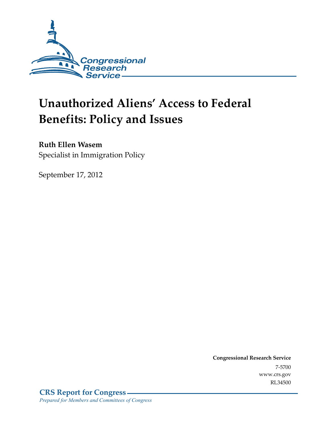

# **Unauthorized Aliens' Access to Federal Benefits: Policy and Issues**

#### **Ruth Ellen Wasem**

Specialist in Immigration Policy

September 17, 2012

**Congressional Research Service**  7-5700 www.crs.gov RL34500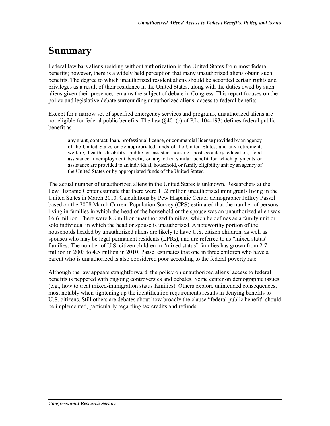### **Summary**

Federal law bars aliens residing without authorization in the United States from most federal benefits; however, there is a widely held perception that many unauthorized aliens obtain such benefits. The degree to which unauthorized resident aliens should be accorded certain rights and privileges as a result of their residence in the United States, along with the duties owed by such aliens given their presence, remains the subject of debate in Congress. This report focuses on the policy and legislative debate surrounding unauthorized aliens' access to federal benefits.

Except for a narrow set of specified emergency services and programs, unauthorized aliens are not eligible for federal public benefits. The law (§401(c) of P.L. 104-193) defines federal public benefit as

any grant, contract, loan, professional license, or commercial license provided by an agency of the United States or by appropriated funds of the United States; and any retirement, welfare, health, disability, public or assisted housing, postsecondary education, food assistance, unemployment benefit, or any other similar benefit for which payments or assistance are provided to an individual, household, or family eligibility unit by an agency of the United States or by appropriated funds of the United States.

The actual number of unauthorized aliens in the United States is unknown. Researchers at the Pew Hispanic Center estimate that there were 11.2 million unauthorized immigrants living in the United States in March 2010. Calculations by Pew Hispanic Center demographer Jeffrey Passel based on the 2008 March Current Population Survey (CPS) estimated that the number of persons living in families in which the head of the household or the spouse was an unauthorized alien was 16.6 million. There were 8.8 million unauthorized families, which he defines as a family unit or solo individual in which the head or spouse is unauthorized. A noteworthy portion of the households headed by unauthorized aliens are likely to have U.S. citizen children, as well as spouses who may be legal permanent residents (LPRs), and are referred to as "mixed status" families. The number of U.S. citizen children in "mixed status" families has grown from 2.7 million in 2003 to 4.5 million in 2010. Passel estimates that one in three children who have a parent who is unauthorized is also considered poor according to the federal poverty rate.

Although the law appears straightforward, the policy on unauthorized aliens' access to federal benefits is peppered with ongoing controversies and debates. Some center on demographic issues (e.g., how to treat mixed-immigration status families). Others explore unintended consequences, most notably when tightening up the identification requirements results in denying benefits to U.S. citizens. Still others are debates about how broadly the clause "federal public benefit" should be implemented, particularly regarding tax credits and refunds.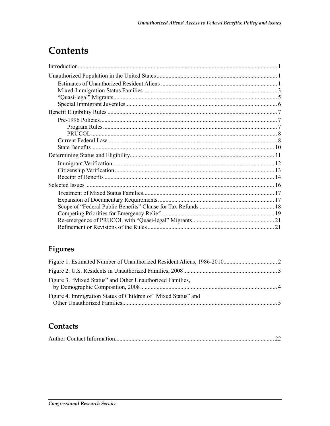## Contents

### Figures

| Figure 3. "Mixed Status" and Other Unauthorized Families,      |  |
|----------------------------------------------------------------|--|
| Figure 4. Immigration Status of Children of "Mixed Status" and |  |

#### Contacts

|--|--|--|--|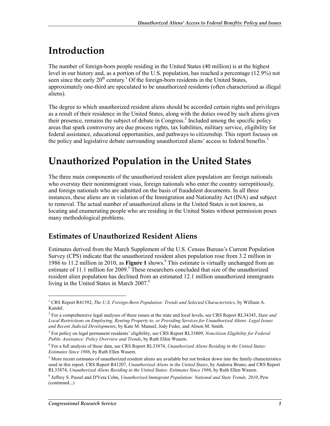## **Introduction**

The number of foreign-born people residing in the United States (40 million) is at the highest level in our history and, as a portion of the U.S. population, has reached a percentage (12.9%) not seen since the early  $20<sup>th</sup>$  century.<sup>1</sup> Of the foreign-born residents in the United States, approximately one-third are speculated to be unauthorized residents (often characterized as illegal aliens).

The degree to which unauthorized resident aliens should be accorded certain rights and privileges as a result of their residence in the United States, along with the duties owed by such aliens given their presence, remains the subject of debate in Congress.<sup>2</sup> Included among the specific policy areas that spark controversy are due process rights, tax liabilities, military service, eligibility for federal assistance, educational opportunities, and pathways to citizenship. This report focuses on the policy and legislative debate surrounding unauthorized aliens' access to federal benefits.<sup>3</sup>

### **Unauthorized Population in the United States**

The three main components of the unauthorized resident alien population are foreign nationals who overstay their nonimmigrant visas, foreign nationals who enter the country surreptitiously, and foreign nationals who are admitted on the basis of fraudulent documents. In all three instances, these aliens are in violation of the Immigration and Nationality Act (INA) and subject to removal. The actual number of unauthorized aliens in the United States is not known, as locating and enumerating people who are residing in the United States without permission poses many methodological problems.

#### **Estimates of Unauthorized Resident Aliens**

Estimates derived from the March Supplement of the U.S. Census Bureau's Current Population Survey (CPS) indicate that the unauthorized resident alien population rose from 3.2 million in 1986 to 11.2 million in 2010, as **Figure 1** shows.<sup>4</sup> This estimate is virtually unchanged from an estimate of 11.1 million for 2009.<sup>5</sup> These researchers concluded that size of the unauthorized resident alien population has declined from an estimated 12.1 million unauthorized immigrants living in the United States in March 2007.<sup>6</sup>

<sup>&</sup>lt;sup>1</sup> CRS Report R41592, *The U.S. Foreign-Born Population: Trends and Selected Characteristics*, by William A. Kandel.

<sup>2</sup> For a comprehensive legal analyses of these issues at the state and local levels, see CRS Report RL34345, *State and Local Restrictions on Employing, Renting Property to, or Providing Services for Unauthorized Aliens: Legal Issues and Recent Judicial Developments*, by Kate M. Manuel, Jody Feder, and Alison M. Smith.

<sup>3</sup> For policy on legal permanent residents' eligibility, see CRS Report RL33809, *Noncitizen Eligibility for Federal Public Assistance: Policy Overview and Trends*, by Ruth Ellen Wasem.

<sup>4</sup> For a full analysis of these data, see CRS Report RL33874, *Unauthorized Aliens Residing in the United States: Estimates Since 1986*, by Ruth Ellen Wasem.

 $<sup>5</sup>$  More recent estimates of unauthorized resident aliens are available but not broken down into the family characteristics</sup> used in this report. CRS Report R41207, *Unauthorized Aliens in the United States*, by Andorra Bruno; and CRS Report RL33874, *Unauthorized Aliens Residing in the United States: Estimates Since 1986*, by Ruth Ellen Wasem.

<sup>6</sup> Jeffrey S. Passel and D'Vera Cohn, *Unauthorized Immigrant Population: National and State Trends, 2010*, Pew (continued...)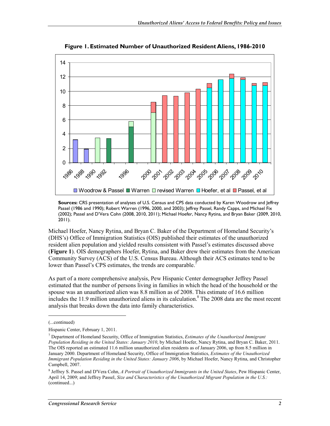

**Figure 1. Estimated Number of Unauthorized Resident Aliens, 1986-2010** 

**Sources:** CRS presentation of analyses of U.S. Census and CPS data conducted by Karen Woodrow and Jeffrey Passel (1986 and 1990); Robert Warren (1996, 2000, and 2003); Jeffrey Passel, Randy Capps, and Michael Fix (2002); Passel and D'Vera Cohn (2008, 2010, 2011); Michael Hoefer, Nancy Rytina, and Bryan Baker (2009, 2010, 2011).

Michael Hoefer, Nancy Rytina, and Bryan C. Baker of the Department of Homeland Security's (DHS's) Office of Immigration Statistics (OIS) published their estimates of the unauthorized resident alien population and yielded results consistent with Passel's estimates discussed above (**Figure 1**). OIS demographers Hoefer, Rytina, and Baker drew their estimates from the American Community Survey (ACS) of the U.S. Census Bureau. Although their ACS estimates tend to be lower than Passel's CPS estimates, the trends are comparable.<sup>7</sup>

As part of a more comprehensive analysis, Pew Hispanic Center demographer Jeffrey Passel estimated that the number of persons living in families in which the head of the household or the spouse was an unauthorized alien was 8.8 million as of 2008. This estimate of 16.6 million includes the 11.9 million unauthorized aliens in its calculation.<sup>8</sup> The 2008 data are the most recent analysis that breaks down the data into family characteristics.

<sup>(...</sup>continued)

Hispanic Center, February 1, 2011.

<sup>7</sup> Department of Homeland Security, Office of Immigration Statistics, *Estimates of the Unauthorized Immigrant Population Residing in the United States: January 2010*, by Michael Hoefer, Nancy Rytina, and Bryan C. Baker, 2011. The OIS reported an estimated 11.6 million unauthorized alien residents as of January 2006, up from 8.5 million in January 2000. Department of Homeland Security, Office of Immigration Statistics, *Estimates of the Unauthorized Immigrant Population Residing in the United States: January 2006*, by Michael Hoefer, Nancy Rytina, and Christopher Campbell, 2007.

<sup>8</sup> Jeffrey S. Passel and D'Vera Cohn, *A Portrait of Unauthorized Immigrants in the United States*, Pew Hispanic Center, April 14, 2009; and Jeffrey Passel, *Size and Characteristics of the Unauthorized Migrant Population in the U.S.:*  (continued...)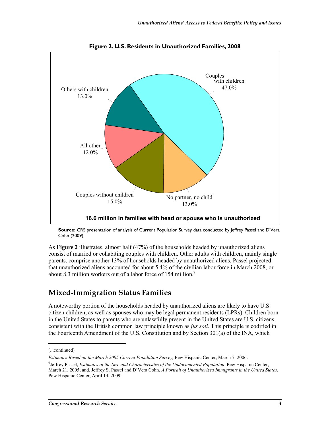

**Figure 2. U.S. Residents in Unauthorized Families, 2008** 

**Source:** CRS presentation of analysis of Current Population Survey data conducted by Jeffrey Passel and D'Vera Cohn (2009).

As **Figure 2** illustrates, almost half (47%) of the households headed by unauthorized aliens consist of married or cohabiting couples with children. Other adults with children, mainly single parents, comprise another 13% of households headed by unauthorized aliens. Passel projected that unauthorized aliens accounted for about 5.4% of the civilian labor force in March 2008, or about 8.3 million workers out of a labor force of 154 million.<sup>9</sup>

#### **Mixed-Immigration Status Families**

A noteworthy portion of the households headed by unauthorized aliens are likely to have U.S. citizen children, as well as spouses who may be legal permanent residents (LPRs). Children born in the United States to parents who are unlawfully present in the United States are U.S. citizens, consistent with the British common law principle known as *jus soli*. This principle is codified in the Fourteenth Amendment of the U.S. Constitution and by Section 301(a) of the INA, which

<sup>(...</sup>continued)

*Estimates Based on the March 2005 Current Population Survey,* Pew Hispanic Center, March 7, 2006.

<sup>9</sup> Jeffrey Passel, *Estimates of the Size and Characteristics of the Undocumented Population*, Pew Hispanic Center, March 21, 2005; and, Jeffrey S. Passel and D'Vera Cohn, *A Portrait of Unauthorized Immigrants in the United States*, Pew Hispanic Center, April 14, 2009.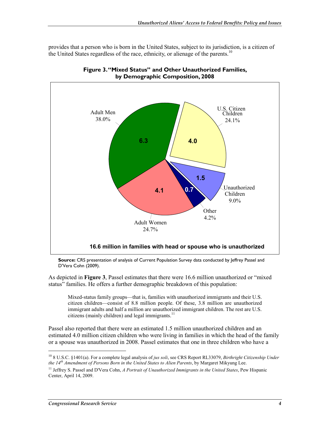provides that a person who is born in the United States, subject to its jurisdiction, is a citizen of the United States regardless of the race, ethnicity, or alienage of the parents.<sup>10</sup>





**Source:** CRS presentation of analysis of Current Population Survey data conducted by Jeffrey Passel and D'Vera Cohn (2009).

As depicted in **Figure 3**, Passel estimates that there were 16.6 million unauthorized or "mixed status" families. He offers a further demographic breakdown of this population:

Mixed-status family groups—that is, families with unauthorized immigrants and their U.S. citizen children—consist of 8.8 million people. Of these, 3.8 million are unauthorized immigrant adults and half a million are unauthorized immigrant children. The rest are U.S. citizens (mainly children) and legal immigrants. $^{11}$ 

Passel also reported that there were an estimated 1.5 million unauthorized children and an estimated 4.0 million citizen children who were living in families in which the head of the family or a spouse was unauthorized in 2008. Passel estimates that one in three children who have a

<sup>10 8</sup> U.S.C. §1401(a). For a complete legal analysis of *jus soli*, see CRS Report RL33079, *Birthright Citizenship Under the 14th Amendment of Persons Born in the United States to Alien Parents*, by Margaret Mikyung Lee.

<sup>&</sup>lt;sup>11</sup> Jeffrey S. Passel and D'Vera Cohn, *A Portrait of Unauthorized Immigrants in the United States*, Pew Hispanic Center, April 14, 2009.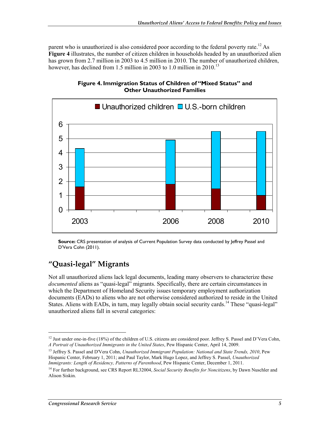parent who is unauthorized is also considered poor according to the federal poverty rate.<sup>12</sup> As **Figure 4** illustrates, the number of citizen children in households headed by an unauthorized alien has grown from 2.7 million in 2003 to 4.5 million in 2010. The number of unauthorized children, however, has declined from 1.5 million in 2003 to 1.0 million in 2010.<sup>13</sup>



**Figure 4. Immigration Status of Children of "Mixed Status" and Other Unauthorized Families** 

**Source:** CRS presentation of analysis of Current Population Survey data conducted by Jeffrey Passel and D'Vera Cohn (2011).

### **"Quasi-legal" Migrants**

Not all unauthorized aliens lack legal documents, leading many observers to characterize these *documented* aliens as "quasi-legal" migrants. Specifically, there are certain circumstances in which the Department of Homeland Security issues temporary employment authorization documents (EADs) to aliens who are not otherwise considered authorized to reside in the United States. Aliens with EADs, in turn, may legally obtain social security cards.<sup>14</sup> These "quasi-legal" unauthorized aliens fall in several categories:

<sup>&</sup>lt;sup>12</sup> Just under one-in-five (18%) of the children of U.S. citizens are considered poor. Jeffrey S. Passel and D'Vera Cohn, *A Portrait of Unauthorized Immigrants in the United States*, Pew Hispanic Center, April 14, 2009.

<sup>13</sup> Jeffrey S. Passel and D'Vera Cohn, *Unauthorized Immigrant Population: National and State Trends, 2010*, Pew Hispanic Center, February 1, 2011; and Paul Taylor, Mark Hugo Lopez, and Jeffrey S. Passel, *Unauthorized Immigrants: Length of Residency, Patterns of Parenthood*, Pew Hispanic Center, December 1, 2011.

<sup>14</sup> For further background, see CRS Report RL32004, *Social Security Benefits for Noncitizens*, by Dawn Nuschler and Alison Siskin.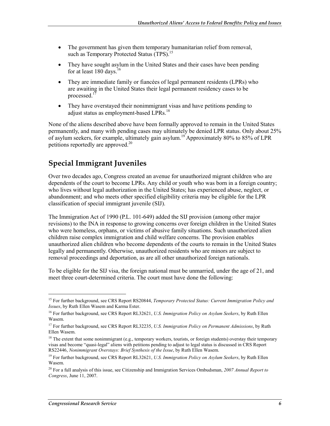- The government has given them temporary humanitarian relief from removal, such as Temporary Protected Status (TPS).<sup>15</sup>
- They have sought asylum in the United States and their cases have been pending for at least 180 days.<sup>16</sup>
- They are immediate family or fiancées of legal permanent residents (LPRs) who are awaiting in the United States their legal permanent residency cases to be processed.<sup>17</sup>
- They have overstayed their nonimmigrant visas and have petitions pending to adjust status as employment-based LPRs.<sup>18</sup>

None of the aliens described above have been formally approved to remain in the United States permanently, and many with pending cases may ultimately be denied LPR status. Only about 25% of asylum seekers, for example, ultimately gain asylum.19 Approximately 80% to 85% of LPR petitions reportedly are approved.<sup>20</sup>

#### **Special Immigrant Juveniles**

Over two decades ago, Congress created an avenue for unauthorized migrant children who are dependents of the court to become LPRs. Any child or youth who was born in a foreign country; who lives without legal authorization in the United States; has experienced abuse, neglect, or abandonment; and who meets other specified eligibility criteria may be eligible for the LPR classification of special immigrant juvenile (SIJ).

The Immigration Act of 1990 (P.L. 101-649) added the SIJ provision (among other major revisions) to the INA in response to growing concerns over foreign children in the United States who were homeless, orphans, or victims of abusive family situations. Such unauthorized alien children raise complex immigration and child welfare concerns. The provision enables unauthorized alien children who become dependents of the courts to remain in the United States legally and permanently. Otherwise, unauthorized residents who are minors are subject to removal proceedings and deportation, as are all other unauthorized foreign nationals.

To be eligible for the SIJ visa, the foreign national must be unmarried, under the age of 21, and meet three court-determined criteria. The court must have done the following:

<sup>15</sup> For further background, see CRS Report RS20844, *Temporary Protected Status: Current Immigration Policy and Issues*, by Ruth Ellen Wasem and Karma Ester.

<sup>16</sup> For further background, see CRS Report RL32621, *U.S. Immigration Policy on Asylum Seekers*, by Ruth Ellen Wasem.

<sup>17</sup> For further background, see CRS Report RL32235, *U.S. Immigration Policy on Permanent Admissions*, by Ruth Ellen Wasem.

 $18$  The extent that some nonimmigrant (e.g., temporary workers, tourists, or foreign students) overstay their temporary visas and become "quasi-legal" aliens with petitions pending to adjust to legal status is discussed in CRS Report RS22446, *Nonimmigrant Overstays: Brief Synthesis of the Issue*, by Ruth Ellen Wasem.

<sup>19</sup> For further background, see CRS Report RL32621, *U.S. Immigration Policy on Asylum Seekers*, by Ruth Ellen Wasem.

<sup>20</sup> For a full analysis of this issue, see Citizenship and Immigration Services Ombudsman, *2007 Annual Report to Congress*, June 11, 2007.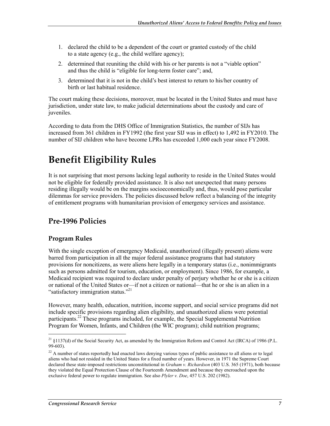- 1. declared the child to be a dependent of the court or granted custody of the child to a state agency (e.g., the child welfare agency);
- 2. determined that reuniting the child with his or her parents is not a "viable option" and thus the child is "eligible for long-term foster care"; and,
- 3. determined that it is not in the child's best interest to return to his/her country of birth or last habitual residence.

The court making these decisions, moreover, must be located in the United States and must have jurisdiction, under state law, to make judicial determinations about the custody and care of juveniles.

According to data from the DHS Office of Immigration Statistics, the number of SIJs has increased from 361 children in FY1992 (the first year SIJ was in effect) to 1,492 in FY2010. The number of SIJ children who have become LPRs has exceeded 1,000 each year since FY2008.

## **Benefit Eligibility Rules**

It is not surprising that most persons lacking legal authority to reside in the United States would not be eligible for federally provided assistance. It is also not unexpected that many persons residing illegally would be on the margins socioeconomically and, thus, would pose particular dilemmas for service providers. The policies discussed below reflect a balancing of the integrity of entitlement programs with humanitarian provision of emergency services and assistance.

#### **Pre-1996 Policies**

#### **Program Rules**

1

With the single exception of emergency Medicaid, unauthorized (illegally present) aliens were barred from participation in all the major federal assistance programs that had statutory provisions for noncitizens, as were aliens here legally in a temporary status (i.e., nonimmigrants such as persons admitted for tourism, education, or employment). Since 1986, for example, a Medicaid recipient was required to declare under penalty of perjury whether he or she is a citizen or national of the United States or—if not a citizen or national—that he or she is an alien in a "satisfactory immigration status."<sup>21</sup>

However, many health, education, nutrition, income support, and social service programs did not include specific provisions regarding alien eligibility, and unauthorized aliens were potential participants.<sup>22</sup> These programs included, for example, the Special Supplemental Nutrition Program for Women, Infants, and Children (the WIC program); child nutrition programs;

<sup>&</sup>lt;sup>21</sup> §1137(d) of the Social Security Act, as amended by the Immigration Reform and Control Act (IRCA) of 1986 (P.L. 99-603).

<sup>&</sup>lt;sup>22</sup> A number of states reportedly had enacted laws denying various types of public assistance to all aliens or to legal aliens who had not resided in the United States for a fixed number of years. However, in 1971 the Supreme Court declared these state-imposed restrictions unconstitutional in *Graham v. Richardson* (403 U.S. 365 (1971), both because they violated the Equal Protection Clause of the Fourteenth Amendment and because they encroached upon the exclusive federal power to regulate immigration. See also *Plyler v. Doe*, 457 U.S. 202 (1982).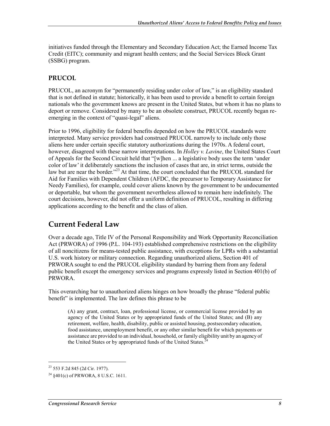initiatives funded through the Elementary and Secondary Education Act; the Earned Income Tax Credit (EITC); community and migrant health centers; and the Social Services Block Grant (SSBG) program.

#### **PRUCOL**

PRUCOL, an acronym for "permanently residing under color of law," is an eligibility standard that is not defined in statute; historically, it has been used to provide a benefit to certain foreign nationals who the government knows are present in the United States, but whom it has no plans to deport or remove. Considered by many to be an obsolete construct, PRUCOL recently began reemerging in the context of "quasi-legal" aliens.

Prior to 1996, eligibility for federal benefits depended on how the PRUCOL standards were interpreted. Many service providers had construed PRUCOL narrowly to include only those aliens here under certain specific statutory authorizations during the 1970s. A federal court, however, disagreed with these narrow interpretations. In *Holley v. Lavine*, the United States Court of Appeals for the Second Circuit held that "[w]hen ... a legislative body uses the term 'under color of law' it deliberately sanctions the inclusion of cases that are, in strict terms, outside the law but are near the border."<sup>23</sup> At that time, the court concluded that the PRUCOL standard for Aid for Families with Dependent Children (AFDC, the precursor to Temporary Assistance for Needy Families), for example, could cover aliens known by the government to be undocumented or deportable, but whom the government nevertheless allowed to remain here indefinitely. The court decisions, however, did not offer a uniform definition of PRUCOL, resulting in differing applications according to the benefit and the class of alien.

#### **Current Federal Law**

Over a decade ago, Title IV of the Personal Responsibility and Work Opportunity Reconciliation Act (PRWORA) of 1996 (P.L. 104-193) established comprehensive restrictions on the eligibility of all noncitizens for means-tested public assistance, with exceptions for LPRs with a substantial U.S. work history or military connection. Regarding unauthorized aliens, Section 401 of PRWORA sought to end the PRUCOL eligibility standard by barring them from any federal public benefit except the emergency services and programs expressly listed in Section 401(b) of PRWORA.

This overarching bar to unauthorized aliens hinges on how broadly the phrase "federal public benefit" is implemented. The law defines this phrase to be

(A) any grant, contract, loan, professional license, or commercial license provided by an agency of the United States or by appropriated funds of the United States; and (B) any retirement, welfare, health, disability, public or assisted housing, postsecondary education, food assistance, unemployment benefit, or any other similar benefit for which payments or assistance are provided to an individual, household, or family eligibility unit by an agency of the United States or by appropriated funds of the United States.<sup>2</sup>

<sup>23 553</sup> F.2d 845 (2d Cir. 1977).

 $^{24}$   $\frac{8401(c)}{c}$  of PRWORA, 8 U.S.C. 1611.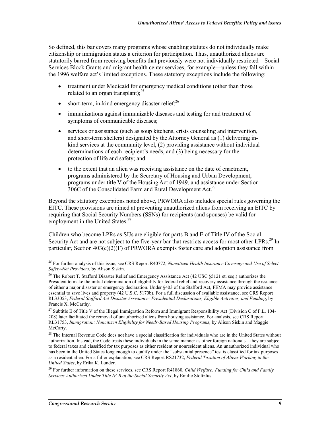So defined, this bar covers many programs whose enabling statutes do not individually make citizenship or immigration status a criterion for participation. Thus, unauthorized aliens are statutorily barred from receiving benefits that previously were not individually restricted—Social Services Block Grants and migrant health center services, for example—unless they fall within the 1996 welfare act's limited exceptions. These statutory exceptions include the following:

- treatment under Medicaid for emergency medical conditions (other than those related to an organ transplant); $^{25}$
- short-term, in-kind emergency disaster relief; $^{26}$
- immunizations against immunizable diseases and testing for and treatment of symptoms of communicable diseases;
- services or assistance (such as soup kitchens, crisis counseling and intervention, and short-term shelters) designated by the Attorney General as (1) delivering inkind services at the community level, (2) providing assistance without individual determinations of each recipient's needs, and (3) being necessary for the protection of life and safety; and
- to the extent that an alien was receiving assistance on the date of enactment, programs administered by the Secretary of Housing and Urban Development, programs under title V of the Housing Act of 1949, and assistance under Section 306C of the Consolidated Farm and Rural Development Act.<sup>27</sup>

Beyond the statutory exceptions noted above, PRWORA also includes special rules governing the EITC. These provisions are aimed at preventing unauthorized aliens from receiving an EITC by requiring that Social Security Numbers (SSNs) for recipients (and spouses) be valid for employment in the United States.<sup>28</sup>

Children who become LPRs as SIJs are eligible for parts B and E of Title IV of the Social Security Act and are not subject to the five-year bar that restricts access for most other  $LPRs<sup>29</sup>$  In particular, Section  $403(c)(2)(F)$  of PRWORA exempts foster care and adoption assistance from

<sup>25</sup> For further analysis of this issue, see CRS Report R40772, *Noncitizen Health Insurance Coverage and Use of Select Safety-Net Providers*, by Alison Siskin.

<sup>&</sup>lt;sup>26</sup> The Robert T. Stafford Disaster Relief and Emergency Assistance Act (42 USC §5121 et. seq.) authorizes the President to make the initial determination of eligibility for federal relief and recovery assistance through the issuance of either a major disaster or emergency declaration. Under §403 of the Stafford Act, FEMA may provide assistance essential to save lives and property (42 U.S.C. 5170b). For a full discussion of available assistance, see CRS Report RL33053, *Federal Stafford Act Disaster Assistance: Presidential Declarations, Eligible Activities, and Funding*, by Francis X. McCarthy.

<sup>&</sup>lt;sup>27</sup> Subtitle E of Title V of the Illegal Immigration Reform and Immigrant Responsibility Act (Division C of P.L. 104-208) later facilitated the removal of unauthorized aliens from housing assistance. For analysis, see CRS Report RL31753, *Immigration: Noncitizen Eligibility for Needs-Based Housing Programs*, by Alison Siskin and Maggie McCarty.

 $28$  The Internal Revenue Code does not have a special classification for individuals who are in the United States without authorization. Instead, the Code treats these individuals in the same manner as other foreign nationals—they are subject to federal taxes and classified for tax purposes as either resident or nonresident aliens. An unauthorized individual who has been in the United States long enough to qualify under the "substantial presence" test is classified for tax purposes as a resident alien. For a fuller explanation, see CRS Report RS21732, *Federal Taxation of Aliens Working in the United States*, by Erika K. Lunder.

<sup>29</sup> For further information on these services, see CRS Report R41860, *Child Welfare: Funding for Child and Family Services Authorized Under Title IV-B of the Social Security Act*, by Emilie Stoltzfus.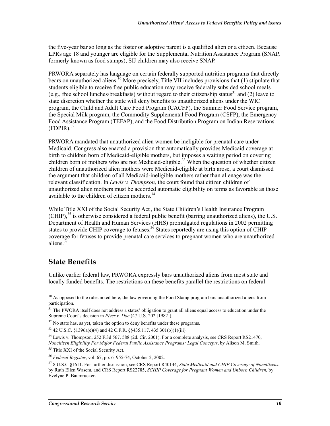the five-year bar so long as the foster or adoptive parent is a qualified alien or a citizen. Because LPRs age 18 and younger are eligible for the Supplemental Nutrition Assistance Program (SNAP, formerly known as food stamps), SIJ children may also receive SNAP.

PRWORA separately has language on certain federally supported nutrition programs that directly bears on unauthorized aliens.<sup>30</sup> More precisely. Title VII includes provisions that (1) stipulate that students eligible to receive free public education may receive federally subsided school meals (e.g., free school lunches/breakfasts) without regard to their citizenship status<sup>31</sup> and (2) leave to state discretion whether the state will deny benefits to unauthorized aliens under the WIC program, the Child and Adult Care Food Program (CACFP), the Summer Food Service program, the Special Milk program, the Commodity Supplemental Food Program (CSFP), the Emergency Food Assistance Program (TEFAP), and the Food Distribution Program on Indian Reservations  $(FDPIR).$ <sup>32</sup>

PRWORA mandated that unauthorized alien women be ineligible for prenatal care under Medicaid. Congress also enacted a provision that automatically provides Medicaid coverage at birth to children born of Medicaid-eligible mothers, but imposes a waiting period on covering children born of mothers who are not Medicaid-eligible.<sup>33</sup> When the question of whether citizen children of unauthorized alien mothers were Medicaid-eligible at birth arose, a court dismissed the argument that children of all Medicaid-ineligible mothers rather than alienage was the relevant classification. In *Lewis v. Thompson*, the court found that citizen children of unauthorized alien mothers must be accorded automatic eligibility on terms as favorable as those available to the children of citizen mothers.<sup>34</sup>

While Title XXI of the Social Security Act , the State Children's Health Insurance Program  $(CHIP)$ ,<sup>35</sup> is otherwise considered a federal public benefit (barring unauthorized aliens), the U.S. Department of Health and Human Services (HHS) promulgated regulations in 2002 permitting states to provide CHIP coverage to fetuses.<sup>36</sup> States reportedly are using this option of CHIP coverage for fetuses to provide prenatal care services to pregnant women who are unauthorized aliens.<sup>3</sup>

#### **State Benefits**

1

Unlike earlier federal law, PRWORA expressly bars unauthorized aliens from most state and locally funded benefits. The restrictions on these benefits parallel the restrictions on federal

<sup>&</sup>lt;sup>30</sup> As opposed to the rules noted here, the law governing the Food Stamp program bars unauthorized aliens from participation.

 $31$  The PWORA itself does not address a states' obligation to grant all aliens equal access to education under the Supreme Court's decision in *Plyer v. Doe* (47 U.S. 202 [1982]).

 $32$  No state has, as yet, taken the option to deny benefits under these programs.

<sup>33 42</sup> U.S.C. §1396a(e)(4) and 42 C.F.R. §§435.117, 435.301(b)(1)(iii).

 $34$  Lewis v. Thompson, 252 F.3d 567, 588 (2d. Cir. 2001). For a complete analysis, see CRS Report RS21470, *Noncitizen Eligibility For Major Federal Public Assistance Programs: Legal Concepts*, by Alison M. Smith.

<sup>&</sup>lt;sup>35</sup> Title XXI of the Social Security Act.

<sup>36</sup> *Federal Register*, vol. 67, pp. 61955-74, October 2, 2002.

<sup>37 8</sup> U.S.C §1611. For further discussion, see CRS Report R40144, *State Medicaid and CHIP Coverage of Noncitizens*, by Ruth Ellen Wasem, and CRS Report RS22785, *SCHIP Coverage for Pregnant Women and Unborn Children*, by Evelyne P. Baumrucker.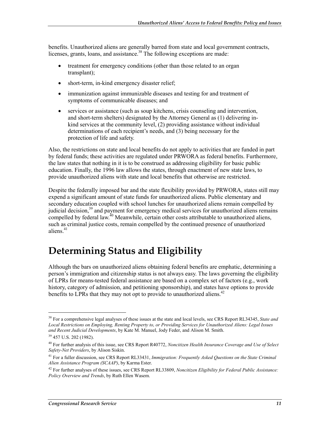benefits. Unauthorized aliens are generally barred from state and local government contracts, licenses, grants, loans, and assistance.<sup>38</sup> The following exceptions are made:

- treatment for emergency conditions (other than those related to an organ transplant);
- short-term, in-kind emergency disaster relief;
- immunization against immunizable diseases and testing for and treatment of symptoms of communicable diseases; and
- services or assistance (such as soup kitchens, crisis counseling and intervention, and short-term shelters) designated by the Attorney General as (1) delivering inkind services at the community level, (2) providing assistance without individual determinations of each recipient's needs, and (3) being necessary for the protection of life and safety.

Also, the restrictions on state and local benefits do not apply to activities that are funded in part by federal funds; these activities are regulated under PRWORA as federal benefits. Furthermore, the law states that nothing in it is to be construed as addressing eligibility for basic public education. Finally, the 1996 law allows the states, through enactment of new state laws, to provide unauthorized aliens with state and local benefits that otherwise are restricted.

Despite the federally imposed bar and the state flexibility provided by PRWORA, states still may expend a significant amount of state funds for unauthorized aliens. Public elementary and secondary education coupled with school lunches for unauthorized aliens remain compelled by judicial decision,<sup>39</sup> and payment for emergency medical services for unauthorized aliens remains compelled by federal law. $^{40}$  Meanwhile, certain other costs attributable to unauthorized aliens, such as criminal justice costs, remain compelled by the continued presence of unauthorized aliens.<sup>41</sup>

## **Determining Status and Eligibility**

Although the bars on unauthorized aliens obtaining federal benefits are emphatic, determining a person's immigration and citizenship status is not always easy. The laws governing the eligibility of LPRs for means-tested federal assistance are based on a complex set of factors (e.g., work history, category of admission, and petitioning sponsorship), and states have options to provide benefits to LPRs that they may not opt to provide to unauthorized aliens.<sup>42</sup>

<sup>38</sup> For a comprehensive legal analyses of these issues at the state and local levels, see CRS Report RL34345, *State and Local Restrictions on Employing, Renting Property to, or Providing Services for Unauthorized Aliens: Legal Issues and Recent Judicial Developments*, by Kate M. Manuel, Jody Feder, and Alison M. Smith.

<sup>39 457</sup> U.S. 202 (1982).

<sup>40</sup> For further analysis of this issue, see CRS Report R40772, *Noncitizen Health Insurance Coverage and Use of Select Safety-Net Providers*, by Alison Siskin.

<sup>41</sup> For a fuller discussion, see CRS Report RL33431, *Immigration: Frequently Asked Questions on the State Criminal Alien Assistance Program (SCAAP)*, by Karma Ester.

<sup>42</sup> For further analyses of these issues, see CRS Report RL33809, *Noncitizen Eligibility for Federal Public Assistance: Policy Overview and Trends*, by Ruth Ellen Wasem.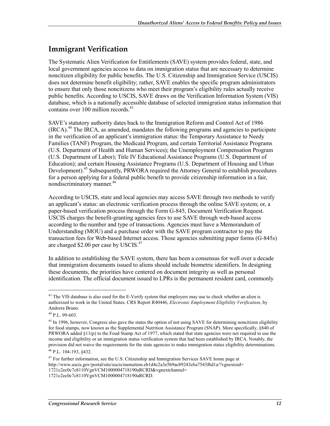#### **Immigrant Verification**

The Systematic Alien Verification for Entitlements (SAVE) system provides federal, state, and local government agencies access to data on immigration status that are necessary to determine noncitizen eligibility for public benefits. The U.S. Citizenship and Immigration Service (USCIS) does not determine benefit eligibility; rather, SAVE enables the specific program administrators to ensure that only those noncitizens who meet their program's eligibility rules actually receive public benefits. According to USCIS, SAVE draws on the Verification Information System (VIS) database, which is a nationally accessible database of selected immigration status information that contains over 100 million records.<sup>43</sup>

SAVE's statutory authority dates back to the Immigration Reform and Control Act of 1986  $(IRCA)$ <sup>44</sup> The IRCA, as amended, mandates the following programs and agencies to participate in the verification of an applicant's immigration status: the Temporary Assistance to Needy Families (TANF) Program, the Medicaid Program, and certain Territorial Assistance Programs (U.S. Department of Health and Human Services); the Unemployment Compensation Program (U.S. Department of Labor); Title IV Educational Assistance Programs (U.S. Department of Education); and certain Housing Assistance Programs (U.S. Department of Housing and Urban Development).<sup>45</sup> Subsequently, PRWORA required the Attorney General to establish procedures for a person applying for a federal public benefit to provide citizenship information in a fair, nondiscriminatory manner.<sup>46</sup>

According to USCIS, state and local agencies may access SAVE through two methods to verify an applicant's status: an electronic verification process through the online SAVE system; or, a paper-based verification process through the Form G-845, Document Verification Request. USCIS charges the benefit-granting agencies fees to use SAVE through web-based access according to the number and type of transactions. Agencies must have a Memorandum of Understanding (MOU) and a purchase order with the SAVE program contractor to pay the transaction fees for Web-based Internet access. Those agencies submitting paper forms (G-845s) are charged \$2.00 per case by USCIS.<sup>47</sup>

In addition to establishing the SAVE system, there has been a consensus for well over a decade that immigration documents issued to aliens should include biometric identifiers. In designing these documents, the priorities have centered on document integrity as well as personal identification. The official document issued to LPRs is the permanent resident card, commonly

 $\overline{a}$ 

<sup>&</sup>lt;sup>43</sup> The VIS database is also used for the E-Verify system that employers may use to check whether an alien is authorized to work in the United States. CRS Report R40446, *Electronic Employment Eligibility Verification*, by Andorra Bruno.

 $44$  P.L. 99-603.

<sup>&</sup>lt;sup>45</sup> In 1996, however, Congress also gave the states the option of not using SAVE for determining noncitizen eligibility for food stamps, now known as the Supplemental Nutrition Assistance Program (SNAP). More specifically, §840 of PRWORA added §11(p) to the Food Stamp Act of 1977, which stated that state agencies were not required to use the income and eligibility or an immigration status verification system that had been established by IRCA. Notably, the provision did not waive the requirements for the state agencies to make immigration status eligibility determinations.

<sup>46</sup> P.L. 104-193, §432.

<sup>&</sup>lt;sup>47</sup> For further information, see the U.S. Citizenship and Immigration Services SAVE home page at http://www.uscis.gov/portal/site/uscis/menuitem.eb1d4c2a3e5b9ac89243c6a7543f6d1a/?vgnextoid= 1721c2ec0c7c8110VgnVCM1000004718190aRCRD&vgnextchannel=

<sup>1721</sup>c2ec0c7c8110VgnVCM1000004718190aRCRD.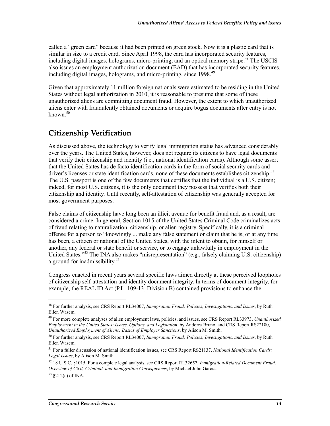called a "green card" because it had been printed on green stock. Now it is a plastic card that is similar in size to a credit card. Since April 1998, the card has incorporated security features, including digital images, holograms, micro-printing, and an optical memory stripe.<sup>48</sup> The USCIS also issues an employment authorization document (EAD) that has incorporated security features, including digital images, holograms, and micro-printing, since 1998.<sup>49</sup>

Given that approximately 11 million foreign nationals were estimated to be residing in the United States without legal authorization in 2010, it is reasonable to presume that some of these unauthorized aliens are committing document fraud. However, the extent to which unauthorized aliens enter with fraudulently obtained documents or acquire bogus documents after entry is not known.<sup>50</sup>

#### **Citizenship Verification**

As discussed above, the technology to verify legal immigration status has advanced considerably over the years. The United States, however, does not require its citizens to have legal documents that verify their citizenship and identity (i.e., national identification cards). Although some assert that the United States has de facto identification cards in the form of social security cards and driver's licenses or state identification cards, none of these documents establishes citizenship.<sup>51</sup> The U.S. passport is one of the few documents that certifies that the individual is a U.S. citizen; indeed, for most U.S. citizens, it is the only document they possess that verifies both their citizenship and identity. Until recently, self-attestation of citizenship was generally accepted for most government purposes.

False claims of citizenship have long been an illicit avenue for benefit fraud and, as a result, are considered a crime. In general, Section 1015 of the United States Criminal Code criminalizes acts of fraud relating to naturalization, citizenship, or alien registry. Specifically, it is a criminal offense for a person to "knowingly ... make any false statement or claim that he is, or at any time has been, a citizen or national of the United States, with the intent to obtain, for himself or another, any federal or state benefit or service, or to engage unlawfully in employment in the United States."52 The INA also makes "misrepresentation" (e.g., falsely claiming U.S. citizenship) a ground for inadmissibility.<sup>53</sup>

Congress enacted in recent years several specific laws aimed directly at these perceived loopholes of citizenship self-attestation and identity document integrity. In terms of document integrity, for example, the REAL ID Act (P.L. 109-13, Division B) contained provisions to enhance the

<sup>48</sup> For further analysis, see CRS Report RL34007, *Immigration Fraud: Policies, Investigations, and Issues*, by Ruth Ellen Wasem.

<sup>49</sup> For more complete analyses of alien employment laws, policies, and issues, see CRS Report RL33973, *Unauthorized Employment in the United States: Issues, Options, and Legislation*, by Andorra Bruno, and CRS Report RS22180, *Unauthorized Employment of Aliens: Basics of Employer Sanctions*, by Alison M. Smith.

<sup>50</sup> For further analysis, see CRS Report RL34007, *Immigration Fraud: Policies, Investigations, and Issues*, by Ruth Ellen Wasem.

<sup>51</sup> For a fuller discussion of national identification issues, see CRS Report RS21137, *National Identification Cards: Legal Issues*, by Alison M. Smith.

<sup>52 18</sup> U.S.C. §1015. For a complete legal analysis, see CRS Report RL32657, *Immigration-Related Document Fraud: Overview of Civil, Criminal, and Immigration Consequences*, by Michael John Garcia.

 $53 \& 212(c)$  of INA.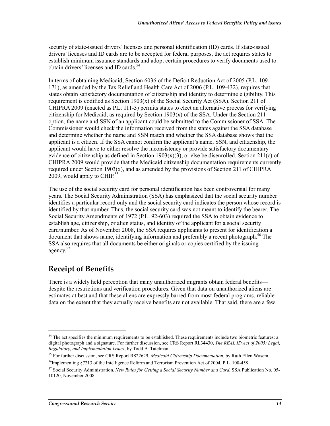security of state-issued drivers' licenses and personal identification (ID) cards. If state-issued drivers' licenses and ID cards are to be accepted for federal purposes, the act requires states to establish minimum issuance standards and adopt certain procedures to verify documents used to obtain drivers' licenses and ID cards.<sup>54</sup>

In terms of obtaining Medicaid, Section 6036 of the Deficit Reduction Act of 2005 (P.L. 109- 171), as amended by the Tax Relief and Health Care Act of 2006 (P.L. 109-432), requires that states obtain satisfactory documentation of citizenship and identity to determine eligibility. This requirement is codified as Section  $1903(x)$  of the Social Security Act (SSA). Section 211 of CHIPRA 2009 (enacted as P.L. 111-3) permits states to elect an alternative process for verifying citizenship for Medicaid, as required by Section  $1903(x)$  of the SSA. Under the Section 211 option, the name and SSN of an applicant could be submitted to the Commissioner of SSA. The Commissioner would check the information received from the states against the SSA database and determine whether the name and SSN match and whether the SSA database shows that the applicant is a citizen. If the SSA cannot confirm the applicant's name, SSN, and citizenship, the applicant would have to either resolve the inconsistency or provide satisfactory documentary evidence of citizenship as defined in Section  $1903(x)(3)$ , or else be disenrolled. Section 211(c) of CHIPRA 2009 would provide that the Medicaid citizenship documentation requirements currently required under Section 1903(x), and as amended by the provisions of Section 211 of CHIPRA 2009, would apply to CHIP.<sup>55</sup>

The use of the social security card for personal identification has been controversial for many years. The Social Security Administration (SSA) has emphasized that the social security number identifies a particular record only and the social security card indicates the person whose record is identified by that number. Thus, the social security card was not meant to identify the bearer. The Social Security Amendments of 1972 (P.L. 92-603) required the SSA to obtain evidence to establish age, citizenship, or alien status, and identity of the applicant for a social security card/number. As of November 2008, the SSA requires applicants to present for identification a document that shows name, identifying information and preferably a recent photograph.<sup>56</sup> The SSA also requires that all documents be either originals or copies certified by the issuing agency.<sup>57</sup>

### **Receipt of Benefits**

1

There is a widely held perception that many unauthorized migrants obtain federal benefits despite the restrictions and verification procedures. Given that data on unauthorized aliens are estimates at best and that these aliens are expressly barred from most federal programs, reliable data on the extent that they actually receive benefits are not available. That said, there are a few

<sup>&</sup>lt;sup>54</sup> The act specifies the minimum requirements to be established. These requirements include two biometric features: a digital photograph and a signature. For further discussion, see CRS Report RL34430, *The REAL ID Act of 2005: Legal, Regulatory, and Implementation Issues*, by Todd B. Tatelman.

<sup>55</sup> For further discussion, see CRS Report RS22629, *Medicaid Citizenship Documentation*, by Ruth Ellen Wasem.

<sup>&</sup>lt;sup>56</sup>Implementing §7213 of the Intelligence Reform and Terrorism Prevention Act of 2004, P.L. 108-458.

<sup>57</sup> Social Security Administration, *New Rules for Getting a Social Security Number and Card*, SSA Publication No. 05- 10120, November 2008.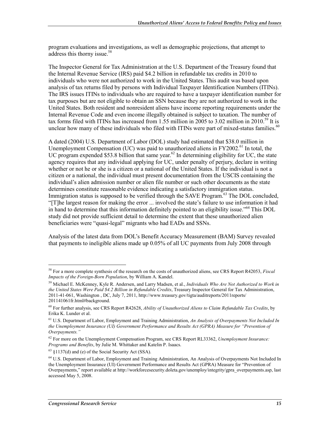program evaluations and investigations, as well as demographic projections, that attempt to address this thorny issue.<sup>58</sup>

The Inspector General for Tax Administration at the U.S. Department of the Treasury found that the Internal Revenue Service (IRS) paid \$4.2 billion in refundable tax credits in 2010 to individuals who were not authorized to work in the United States. This audit was based upon analysis of tax returns filed by persons with Individual Taxpayer Identification Numbers (ITINs). The IRS issues ITINs to individuals who are required to have a taxpayer identification number for tax purposes but are not eligible to obtain an SSN because they are not authorized to work in the United States. Both resident and nonresident aliens have income reporting requirements under the Internal Revenue Code and even income illegally obtained is subject to taxation. The number of tax forms filed with ITINs has increased from 1.55 million in 2005 to 3.02 million in 2010.<sup>59</sup> It is unclear how many of these individuals who filed with ITINs were part of mixed-status families.<sup>60</sup>

A dated (2004) U.S. Department of Labor (DOL) study had estimated that \$38.0 million in Unemployment Compensation (UC) was paid to unauthorized aliens in  $FY2002<sup>61</sup>$  In total, the UC program expended \$53.8 billion that same year.<sup>62</sup> In determining eligibility for UC, the state agency requires that any individual applying for UC, under penalty of perjury, declare in writing whether or not he or she is a citizen or a national of the United States. If the individual is not a citizen or a national, the individual must present documentation from the USCIS containing the individual's alien admission number or alien file number or such other documents as the state determines constitute reasonable evidence indicating a satisfactory immigration status. Immigration status is supposed to be verified through the SAVE Program.<sup>63</sup> The DOL concluded, "[T]he largest reason for making the error ... involved the state's failure to use information it had in hand to determine that this information definitely pointed to an eligibility issue."64 This DOL study did not provide sufficient detail to determine the extent that these unauthorized alien beneficiaries were "quasi-legal" migrants who had EADs and SSNs.

Analysis of the latest data from DOL's Benefit Accuracy Measurement (BAM) Survey revealed that payments to ineligible aliens made up 0.05% of all UC payments from July 2008 through

<sup>58</sup> For a more complete synthesis of the research on the costs of unauthorized aliens, see CRS Report R42053, *Fiscal Impacts of the Foreign-Born Population*, by William A. Kandel.

<sup>59</sup> Michael E. McKenney, Kyle R. Andersen, and Larry Madsen, et al., *Individuals Who Are Not Authorized to Work in the United States Were Paid \$4.2 Billion in Refundable Credits*, Treasury Inspector General for Tax Administration, 2011-41-061, Washington , DC, July 7, 2011, http://www.treasury.gov/tigta/auditreports/2011reports/ 201141061fr.html#background.

<sup>60</sup> For further analysis, see CRS Report R42628, *Ability of Unauthorized Aliens to Claim Refundable Tax Credits*, by Erika K. Lunder et al.

<sup>61</sup> U.S. Department of Labor, Employment and Training Administration, *An Analysis of Overpayments Not Included In the Unemployment Insurance (UI) Government Performance and Results Act (GPRA) Measure for "Prevention of Overpayments."*

<sup>62</sup> For more on the Unemployment Compensation Program, see CRS Report RL33362, *Unemployment Insurance: Programs and Benefits*, by Julie M. Whittaker and Katelin P. Isaacs.

 $63 \text{ }\frac{137}{d}$  and (e) of the Social Security Act (SSA).

<sup>64</sup> U.S. Department of Labor, Employment and Training Administration, An Analysis of Overpayments Not Included In the Unemployment Insurance (UI) Government Performance and Results Act (GPRA) Measure for "Prevention of Overpayments," report available at http://workforcesecurity.doleta.gov/unemploy/integrity/gpra\_overpayments.asp, last accessed May 5, 2008.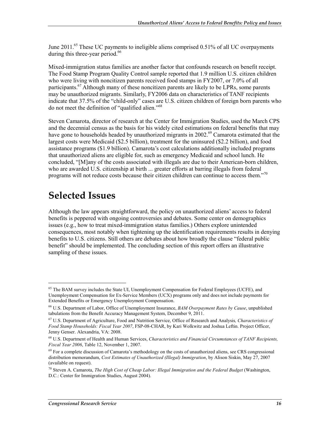June 2011.<sup>65</sup> These UC payments to ineligible aliens comprised 0.51% of all UC overpayments during this three-year period.<sup>66</sup>

Mixed-immigration status families are another factor that confounds research on benefit receipt. The Food Stamp Program Quality Control sample reported that 1.9 million U.S. citizen children who were living with noncitizen parents received food stamps in FY2007, or 7.0% of all participants.<sup>67</sup> Although many of these noncitizen parents are likely to be LPRs, some parents may be unauthorized migrants. Similarly, FY2006 data on characteristics of TANF recipients indicate that 37.5% of the "child-only" cases are U.S. citizen children of foreign born parents who do not meet the definition of "qualified alien."<sup>68</sup>

Steven Camarota, director of research at the Center for Immigration Studies, used the March CPS and the decennial census as the basis for his widely cited estimations on federal benefits that may have gone to households headed by unauthorized migrants in 2002.<sup>69</sup> Camarota estimated that the largest costs were Medicaid (\$2.5 billion), treatment for the uninsured (\$2.2 billion), and food assistance programs (\$1.9 billion). Camarota's cost calculations additionally included programs that unauthorized aliens are eligible for, such as emergency Medicaid and school lunch. He concluded, "[M]any of the costs associated with illegals are due to their American-born children, who are awarded U.S. citizenship at birth ... greater efforts at barring illegals from federal programs will not reduce costs because their citizen children can continue to access them."70

### **Selected Issues**

1

Although the law appears straightforward, the policy on unauthorized aliens' access to federal benefits is peppered with ongoing controversies and debates. Some center on demographics issues (e.g., how to treat mixed-immigration status families.) Others explore unintended consequences, most notably when tightening up the identification requirements results in denying benefits to U.S. citizens. Still others are debates about how broadly the clause "federal public benefit" should be implemented. The concluding section of this report offers an illustrative sampling of these issues.

<sup>&</sup>lt;sup>65</sup> The BAM survey includes the State UI, Unemployment Compensation for Federal Employees (UCFE), and Unemployment Compensation for Ex-Service Members (UCX) programs only and does not include payments for Extended Benefits or Emergency Unemployment Compensation.

<sup>66</sup> U.S. Department of Labor, Office of Unemployment Insurance, *BAM Overpayment Rates by Cause*, unpublished tabulations from the Benefit Accuracy Management System, December 9, 2011.

<sup>67</sup> U.S. Department of Agriculture, Food and Nutrition Service, Office of Research and Analysis*, Characteristics of Food Stamp Households: Fiscal Year 2007*, FSP-08-CHAR, by Kari Wolkwitz and Joshua Leftin. Project Officer, Jenny Genser. Alexandria, VA: 2008.

<sup>68</sup> U.S. Department of Health and Human Services, *Characteristics and Financial Circumstances of TANF Recipients, Fiscal Year 2006*, Table 12, November 1, 2007.

 $69$  For a complete discussion of Camarota's methodology on the costs of unauthorized aliens, see CRS congressional distribution memorandum, *Cost Estimates of Unauthorized (Illegal) Immigration*, by Alison Siskin, May 27, 2007 (available on request).

<sup>70</sup> Steven A. Camarota, *The High Cost of Cheap Labor: Illegal Immigration and the Federal Budget* (Washington, D.C.: Center for Immigration Studies, August 2004).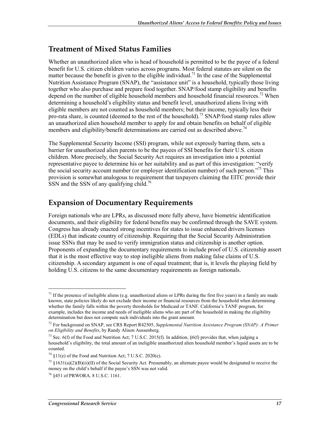#### **Treatment of Mixed Status Families**

Whether an unauthorized alien who is head of household is permitted to be the payee of a federal benefit for U.S. citizen children varies across programs. Most federal statutes are silent on the matter because the benefit is given to the eligible individual.<sup>71</sup> In the case of the Supplemental Nutrition Assistance Program (SNAP), the "assistance unit" is a household, typically those living together who also purchase and prepare food together. SNAP/food stamp eligibility and benefits depend on the number of eligible household members and household financial resources.<sup>72</sup> When determining a household's eligibility status and benefit level, unauthorized aliens living with eligible members are not counted as household members; but their income, typically less their pro-rata share, is counted (deemed to the rest of the household).<sup>73</sup> SNAP/food stamp rules allow an unauthorized alien household member to apply for and obtain benefits on behalf of eligible members and eligibility/benefit determinations are carried out as described above.<sup>74</sup>

The Supplemental Security Income (SSI) program, while not expressly barring them, sets a barrier for unauthorized alien parents to be the payees of SSI benefits for their U.S. citizen children. More precisely, the Social Security Act requires an investigation into a potential representative payee to determine his or her suitability and as part of this investigation: "verify the social security account number (or employer identification number) of such person.<sup>775</sup> This provision is somewhat analogous to requirement that taxpayers claiming the EITC provide their SSN and the SSN of any qualifying child.<sup>76</sup>

#### **Expansion of Documentary Requirements**

Foreign nationals who are LPRs, as discussed more fully above, have biometric identification documents, and their eligibility for federal benefits may be confirmed through the SAVE system. Congress has already enacted strong incentives for states to issue enhanced drivers licenses (EDLs) that indicate country of citizenship. Requiring that the Social Security Administration issue SSNs that may be used to verify immigration status and citizenship is another option. Proponents of expanding the documentary requirements to include proof of U.S. citizenship assert that it is the most effective way to stop ineligible aliens from making false claims of U.S. citizenship. A secondary argument is one of equal treatment; that is, it levels the playing field by holding U.S. citizens to the same documentary requirements as foreign nationals.

 $\overline{a}$ 

 $<sup>71</sup>$  If the presence of ineligible aliens (e.g. unauthorized aliens or LPRs during the first five years) in a family are made</sup> known, state policies likely do not exclude their income or financial resources from the household when determining whether the family falls within the poverty thresholds for Medicaid or TANF. California's TANF program, for example, includes the income and needs of ineligible aliens who are part of the household in making the eligibility determination but does not compute such individuals into the grant amount.

<sup>72</sup> For background on SNAP, see CRS Report R42505, *Supplemental Nutrition Assistance Program (SNAP): A Primer on Eligibility and Benefits*, by Randy Alison Aussenberg.

<sup>&</sup>lt;sup>73</sup> Sec. 6(f) of the Food and Nutrition Act; 7 U.S.C. 2015(f). In addition,  $\S6(f)$  provides that, when judging a household's eligibility, the total amount of an ineligible unauthorized alien household member's liquid assets are to be counted.

 $74$  §11(e) of the Food and Nutrition Act; 7 U.S.C. 2020(e).

<sup>&</sup>lt;sup>75</sup> §1631(a)(2)(B)(ii)(II) of the Social Security Act. Presumably, an alternate payee would be designated to receive the money on the child's behalf if the payee's SSN was not valid.

<sup>76 §451</sup> of PRWORA. 8 U.S.C. 1161.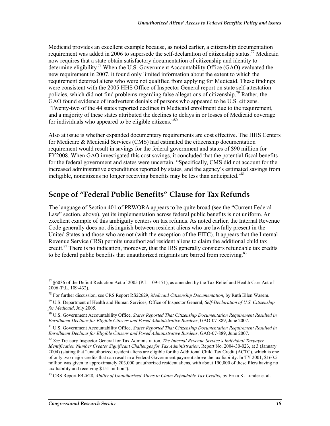Medicaid provides an excellent example because, as noted earlier, a citizenship documentation requirement was added in 2006 to supersede the self-declaration of citizenship status.<sup>77</sup> Medicaid now requires that a state obtain satisfactory documentation of citizenship and identity to determine eligibility.<sup>78</sup> When the U.S. Government Accountability Office (GAO) evaluated the new requirement in 2007, it found only limited information about the extent to which the requirement deterred aliens who were not qualified from applying for Medicaid. These findings were consistent with the 2005 HHS Office of Inspector General report on state self-attestation policies, which did not find problems regarding false allegations of citizenship.79 Rather, the GAO found evidence of inadvertent denials of persons who appeared to be U.S. citizens. "Twenty-two of the 44 states reported declines in Medicaid enrollment due to the requirement, and a majority of these states attributed the declines to delays in or losses of Medicaid coverage for individuals who appeared to be eligible citizens."<sup>80</sup>

Also at issue is whether expanded documentary requirements are cost effective. The HHS Centers for Medicare & Medicaid Services (CMS) had estimated the citizenship documentation requirement would result in savings for the federal government and states of \$90 million for FY2008. When GAO investigated this cost savings, it concluded that the potential fiscal benefits for the federal government and states were uncertain. "Specifically, CMS did not account for the increased administrative expenditures reported by states, and the agency's estimated savings from ineligible, noncitizens no longer receiving benefits may be less than anticipated.<sup> $381$ </sup>

#### **Scope of "Federal Public Benefits" Clause for Tax Refunds**

The language of Section 401 of PRWORA appears to be quite broad (see the "Current Federal Law" section, above), yet its implementation across federal public benefits is not uniform. An excellent example of this ambiguity centers on tax refunds. As noted earlier, the Internal Revenue Code generally does not distinguish between resident aliens who are lawfully present in the United States and those who are not (with the exception of the EITC). It appears that the Internal Revenue Service (IRS) permits unauthorized resident aliens to claim the additional child tax credit.<sup>82</sup> There is no indication, moreover, that the IRS generally considers refundable tax credits to be federal public benefits that unauthorized migrants are barred from receiving.<sup>83</sup>

 $\overline{a}$ 

<sup>77 §6036</sup> of the Deficit Reduction Act of 2005 (P.L. 109-171), as amended by the Tax Relief and Health Care Act of 2006 (P.L. 109-432).

<sup>78</sup> For further discussion, see CRS Report RS22629, *Medicaid Citizenship Documentation*, by Ruth Ellen Wasem.

<sup>79</sup> U.S. Department of Health and Human Services, Office of Inspector General, *Self-Declaration of U.S. Citizenship for Medicaid*, July 2005.

<sup>80</sup> U.S. Government Accountability Office, *States Reported That Citizenship Documentation Requirement Resulted in Enrollment Declines for Eligible Citizens and Posed Administrative Burdens*, GAO-07-889, June 2007.

<sup>81</sup> U.S. Government Accountability Office, *States Reported That Citizenship Documentation Requirement Resulted in Enrollment Declines for Eligible Citizens and Posed Administrative Burdens*, GAO-07-889, June 2007.

<sup>82</sup> *See* Treasury Inspector General for Tax Administration, *The Internal Revenue Service's Individual Taxpayer Identification Number Creates Significant Challenges for Tax Administration*, Report No. 2004-30-023, at 3 (January 2004) (stating that "unauthorized resident aliens are eligible for the Additional Child Tax Credit (ACTC), which is one of only two major credits that can result in a Federal Government payment above the tax liability. In TY 2001, \$160.5 million was given to approximately 203,000 unauthorized resident aliens, with about 190,000 of these filers having no tax liability and receiving \$151 million").

<sup>83</sup> CRS Report R42628, *Ability of Unauthorized Aliens to Claim Refundable Tax Credits*, by Erika K. Lunder et al.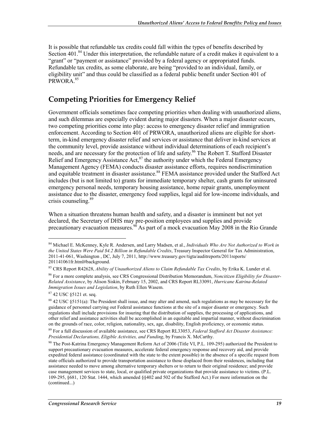It is possible that refundable tax credits could fall within the types of benefits described by Section 401.<sup>84</sup> Under this interpretation, the refundable nature of a credit makes it equivalent to a "grant" or "payment or assistance" provided by a federal agency or appropriated funds. Refundable tax credits, as some elaborate, are being "provided to an individual, family, or eligibility unit" and thus could be classified as a federal public benefit under Section 401 of PRWORA.<sup>85</sup>

#### **Competing Priorities for Emergency Relief**

Government officials sometimes face competing priorities when dealing with unauthorized aliens, and such dilemmas are especially evident during major disasters. When a major disaster occurs, two competing priorities come into play: access to emergency disaster relief and immigration enforcement. According to Section 401 of PRWORA, unauthorized aliens are eligible for shortterm, in-kind emergency disaster relief and services or assistance that deliver in-kind services at the community level, provide assistance without individual determinations of each recipient's needs, and are necessary for the protection of life and safety.<sup>86</sup> The Robert T. Stafford Disaster Relief and Emergency Assistance Act, $^{87}$  the authority under which the Federal Emergency Management Agency (FEMA) conducts disaster assistance efforts, requires nondiscrimination and equitable treatment in disaster assistance.<sup>88</sup> FEMA assistance provided under the Stafford Act includes (but is not limited to) grants for immediate temporary shelter, cash grants for uninsured emergency personal needs, temporary housing assistance, home repair grants, unemployment assistance due to the disaster, emergency food supplies, legal aid for low-income individuals, and crisis counseling.<sup>89</sup>

When a situation threatens human health and safety, and a disaster is imminent but not yet declared, the Secretary of DHS may pre-position employees and supplies and provide precautionary evacuation measures.<sup>96</sup> As part of a mock evacuation May 2008 in the Rio Grande

87 42 USC §5121 et. seq.

<sup>84</sup> Michael E. McKenney, Kyle R. Andersen, and Larry Madsen, et al., *Individuals Who Are Not Authorized to Work in the United States Were Paid \$4.2 Billion in Refundable Credits*, Treasury Inspector General for Tax Administration, 2011-41-061, Washington , DC, July 7, 2011, http://www.treasury.gov/tigta/auditreports/2011reports/ 201141061fr.html#background.

<sup>85</sup> CRS Report R42628, *Ability of Unauthorized Aliens to Claim Refundable Tax Credits*, by Erika K. Lunder et al.

<sup>86</sup> For a more complete analysis, see CRS Congressional Distribution Memorandum, *Noncitizen Eligibility for Disaster-Related Assistance*, by Alison Siskin, February 15, 2002, and CRS Report RL33091, *Hurricane Katrina-Related Immigration Issues and Legislation*, by Ruth Ellen Wasem.

<sup>88 42</sup> USC §5151(a): The President shall issue, and may alter and amend, such regulations as may be necessary for the guidance of personnel carrying out Federal assistance functions at the site of a major disaster or emergency. Such regulations shall include provisions for insuring that the distribution of supplies, the processing of applications, and other relief and assistance activities shall be accomplished in an equitable and impartial manner, without discrimination on the grounds of race, color, religion, nationality, sex, age, disability, English proficiency, or economic status.

<sup>89</sup> For a full discussion of available assistance, see CRS Report RL33053, *Federal Stafford Act Disaster Assistance: Presidential Declarations, Eligible Activities, and Funding*, by Francis X. McCarthy.

<sup>&</sup>lt;sup>90</sup> The Post-Katrina Emergency Management Reform Act of 2006 (Title VI, P.L. 109-295) authorized the President to support precautionary evacuation measures, accelerate federal emergency response and recovery aid, and provide expedited federal assistance (coordinated with the state to the extent possible) in the absence of a specific request from state officials authorized to provide transportation assistance to those displaced from their residences, including that assistance needed to move among alternative temporary shelters or to return to their original residence; and provide case management services to state, local, or qualified private organizations that provide assistance to victims. (P.L. 109-295, §681, 120 Stat. 1444, which amended §§402 and 502 of the Stafford Act.) For more information on the (continued...)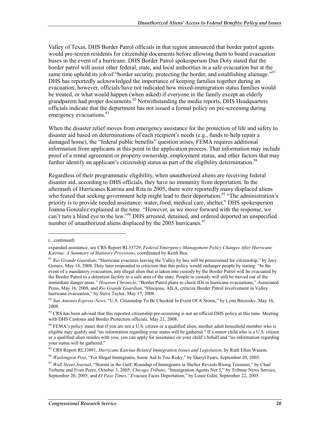Valley of Texas, DHS Border Patrol officials in that region announced that border patrol agents would pre-screen residents for citizenship documents before allowing them to board evacuation buses in the event of a hurricane. DHS Border Patrol spokesperson Dan Doty stated that the border patrol will assist other federal, state, and local authorities in a safe evacuation but at the same time uphold its job of "border security, protecting the border, and establishing alienage."<sup>91</sup> DHS has reportedly acknowledged the importance of keeping families together during an evacuation; however, officials have not indicated how mixed-immigration status families would be treated, or what would happen (when asked) if everyone in the family except an elderly grandparent had proper documents.<sup>92</sup> Notwithstanding the media reports, DHS Headquarters officials indicate that the department has not issued a formal policy on pre-screening during emergency evacuations.<sup>93</sup>

When the disaster relief moves from emergency assistance for the protection of life and safety to disaster aid based on determinations of each recipient's needs (e.g., funds to help repair a damaged home), the "federal public benefits" question arises. FEMA requires additional information from applicants at this point in the application process. That information may include proof of a rental agreement or property ownership, employment status, and other factors that may further identify an applicant's citizenship status as part of the eligibility determination.<sup>94</sup>

Regardless of their programmatic eligibility, when unauthorized aliens are receiving federal disaster aid, according to DHS officials, they have no immunity from deportation. In the aftermath of Hurricanes Katrina and Rita in 2005, there were reportedly many displaced aliens who feared that seeking government help might lead to their deportation.<sup>95</sup> "The administration's priority is to provide needed assistance: water, food, medical care, shelter," DHS spokesperson Joanna Gonzalez explained at the time. "However, as we move forward with the response, we can't turn a blind eye to the law."<sup>96</sup> DHS arrested, detained, and ordered deported an unspecified number of unauthorized aliens displaced by the 2005 hurricanes.<sup>97</sup>

<sup>(...</sup>continued)

expanded assistance, see CRS Report RL33729, *Federal Emergency Management Policy Changes After Hurricane Katrina: A Summary of Statutory Provisions*, coordinated by Keith Bea.

<sup>&</sup>lt;sup>91</sup> Rio Grande Guardian, "Hurricane evacuees leaving the Valley by bus will be prescreened for citizenship," by Joey Gomez, May 14, 2008. Doty later responded to criticism that this policy would endanger people by stating: "In the event of a mandatory evacuation, any illegal alien that is taken into custody by the Border Patrol will be evacuated by the Border Patrol to a detention facility in a safe area of the state. People in custody will still be moved out of the immediate danger areas." *Houston Chronicle*, "Border Patrol plans to check IDs in hurricane evacuations," Associated Press, May 16, 2008, and *Rio Grande Guardian*, "Hinojosa, AILA, criticize Border Patrol involvement in Valley hurricane evacuation," by Steve Taylor, May 17, 2008.

<sup>92</sup> *San Antonio Express-News,* "U.S. Citizenship To Be Checked In Event Of A Storm," by Lynn Brezosky, May 16, 2008.

<sup>93</sup> CRS has been advised that this reported citizenship pre-screening is not an official DHS policy at this time. Meeting with DHS Customs and Border Protection officials, May 21, 2008.

 $94$  FEMA's policy states that if you are not a U.S. citizen or a qualified alien, another adult household member who is eligible may qualify and "no information regarding your status will be gathered." If a minor child who is a U.S. citizen or a qualified alien resides with you, you can apply for assistance on your child's behalf and "no information regarding your status will be gathered."

<sup>95</sup> CRS Report RL33091, *Hurricane Katrina-Related Immigration Issues and Legislation*, by Ruth Ellen Wasem.

<sup>96</sup> *Washington Post*, "For Illegal Immigrants, Some Aid Is Too Risky," by Darryl Fears, September 20, 2005.

<sup>&</sup>lt;sup>97</sup> Wall Street Journal, "Storms in the Gulf: Roundup of Immigrants in Shelter Reveals Rising Tensions," by Chad Terhune and Even Perez, October 3, 2005; *Chicago Tribune,* "Immigration Agents Net 5," by Tribune News Service, September 20, 2005; and *El Paso Times*," Evacuee Faces Deportation," by Louie Gilot, September 22, 2005.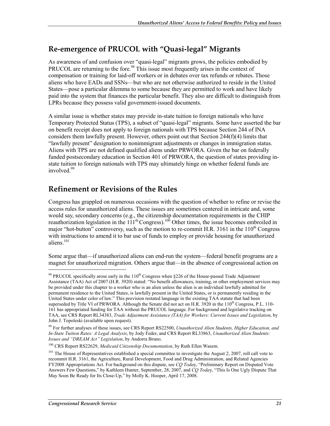#### **Re-emergence of PRUCOL with "Quasi-legal" Migrants**

As awareness of and confusion over "quasi-legal" migrants grows, the policies embodied by PRUCOL are returning to the fore.<sup>98</sup> This issue most frequently arises in the context of compensation or training for laid-off workers or in debates over tax refunds or rebates. Those aliens who have EADs and SSNs—but who are not otherwise authorized to reside in the United States—pose a particular dilemma to some because they are permitted to work and have likely paid into the system that finances the particular benefit. They also are difficult to distinguish from LPRs because they possess valid government-issued documents.

A similar issue is whether states may provide in-state tuition to foreign nationals who have Temporary Protected Status (TPS), a subset of "quasi-legal" migrants. Some have asserted the bar on benefit receipt does not apply to foreign nationals with TPS because Section 244 of INA considers them lawfully present. However, others point out that Section 244(f)(4) limits that "lawfully present" designation to nonimmigrant adjustments or changes in immigration status. Aliens with TPS are not defined qualified aliens under PRWORA. Given the bar on federally funded postsecondary education in Section 401 of PRWORA, the question of states providing instate tuition to foreign nationals with TPS may ultimately hinge on whether federal funds are involved.<sup>99</sup>

#### **Refinement or Revisions of the Rules**

Congress has grappled on numerous occasions with the question of whether to refine or revise the access rules for unauthorized aliens. These issues are sometimes centered in intricate and, some would say, secondary concerns (e.g., the citizenship documentation requirements in the CHIP reauthorization legislation in the  $111^{th}$  Congress).<sup>100</sup> Other times, the issue becomes embroiled in major "hot-button" controversy, such as the motion to re-commit H.R. 3161 in the  $110<sup>th</sup>$  Congress with instructions to amend it to bar use of funds to employ or provide housing for unauthorized aliens.<sup>101</sup>

Some argue that—if unauthorized aliens can end-run the system—federal benefit programs are a magnet for unauthorized migration. Others argue that—in the absence of congressional action on

<sup>&</sup>lt;sup>98</sup> PRUCOL specifically arose early in the 110<sup>th</sup> Congress when §226 of the House-passed Trade Adjustment Assistance (TAA) Act of 2007 (H.R. 3920) stated: "No benefit allowances, training, or other employment services may be provided under this chapter to a worker who is an alien unless the alien is an individual lawfully admitted for permanent residence to the United States, is lawfully present in the United States, or is permanently residing in the United States under color of law." This provision restated language in the existing TAA statute that had been superseded by Title VI of PRWORA. Although the Senate did not act on H.R. 3920 in the  $110<sup>th</sup>$  Congress, P.L. 110-161 has appropriated funding for TAA without the PRUCOL language. For background and legislative tracking on TAA, see CRS Report RL34383, *Trade Adjustment Assistance (TAA) for Workers: Current Issues and Legislation*, by John J. Topoleski (available upon request).

<sup>99</sup> For further analyses of these issues, see CRS Report RS22500, *Unauthorized Alien Students, Higher Education, and In-State Tuition Rates: A Legal Analysis*, by Jody Feder, and CRS Report RL33863, *Unauthorized Alien Students: Issues and "DREAM Act" Legislation*, by Andorra Bruno.

<sup>100</sup> CRS Report RS22629, *Medicaid Citizenship Documentation*, by Ruth Ellen Wasem.

<sup>&</sup>lt;sup>101</sup> The House of Representatives established a special committee to investigate the August 2, 2007, roll call vote to recommit H.R. 3161, the Agriculture, Rural Development, Food and Drug Administration, and Related Agencies FY2008 Appropriations Act. For background on this dispute, see *CQ Toda*y, "Preliminary Report on Disputed Vote Answers Few Questions," by Kathleen Hunter, September, 28, 2007, and *CQ Toda*y, "This Is One Ugly Dispute That May Soon Be Ready for Its Close-Up," by Molly K. Hooper, April 17, 2008.